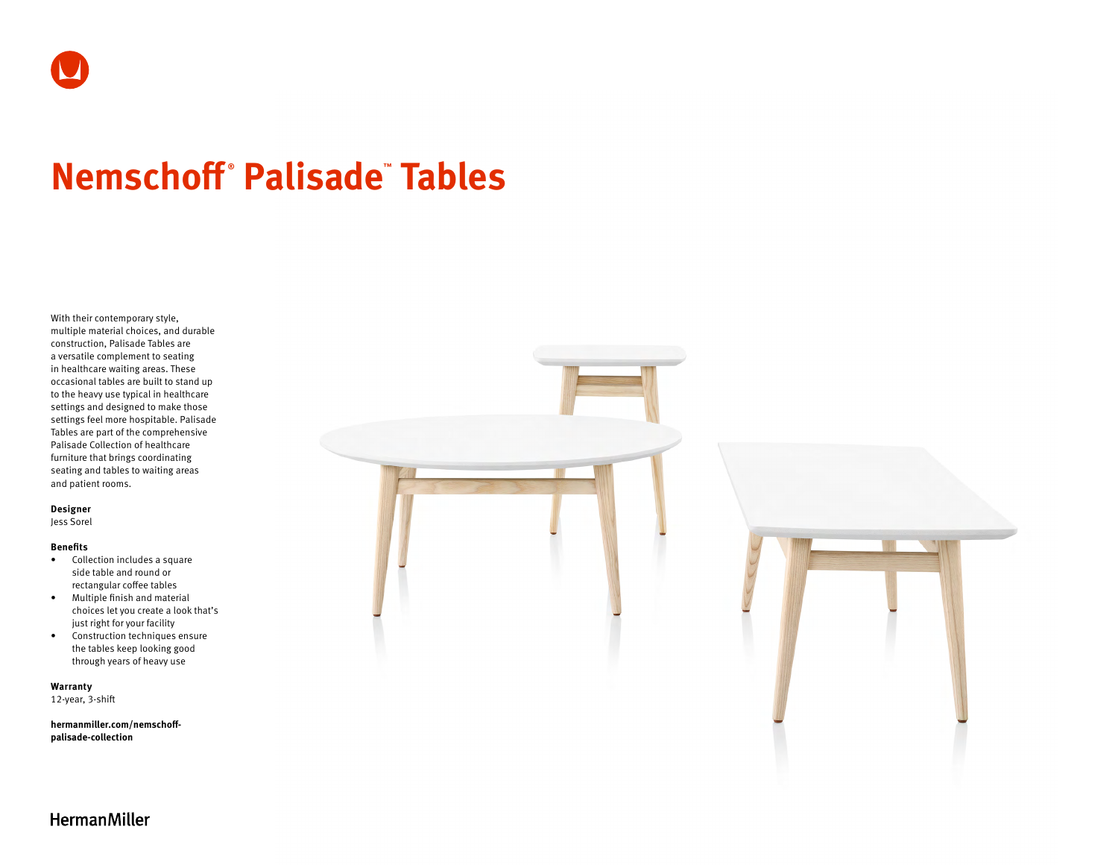# **Nemschoff ® Palisade™ Tables**

With their contemporary style, multiple material choices, and durable construction, Palisade Tables are a versatile complement to seating in healthcare waiting areas. These occasional tables are built to stand up to the heavy use typical in healthcare settings and designed to make those settings feel more hospitable. Palisade Tables are part of the comprehensive Palisade Collection of healthcare furniture that brings coordinating seating and tables to waiting areas and patient rooms.

### **Designer**

Jess Sorel

#### **Benefits**

- Collection includes a square side table and round or rectangular coffee tables
- Multiple finish and material choices let you create a look that's just right for your facility
- Construction techniques ensure the tables keep looking good through years of heavy use

**Warranty** 

12-year, 3-shift

**[hermanmiller.com/nemschoff](http://hermanmiller.com/nemschoff-palisade-collection)[palisade-collection](http://hermanmiller.com/nemschoff-palisade-collection)**